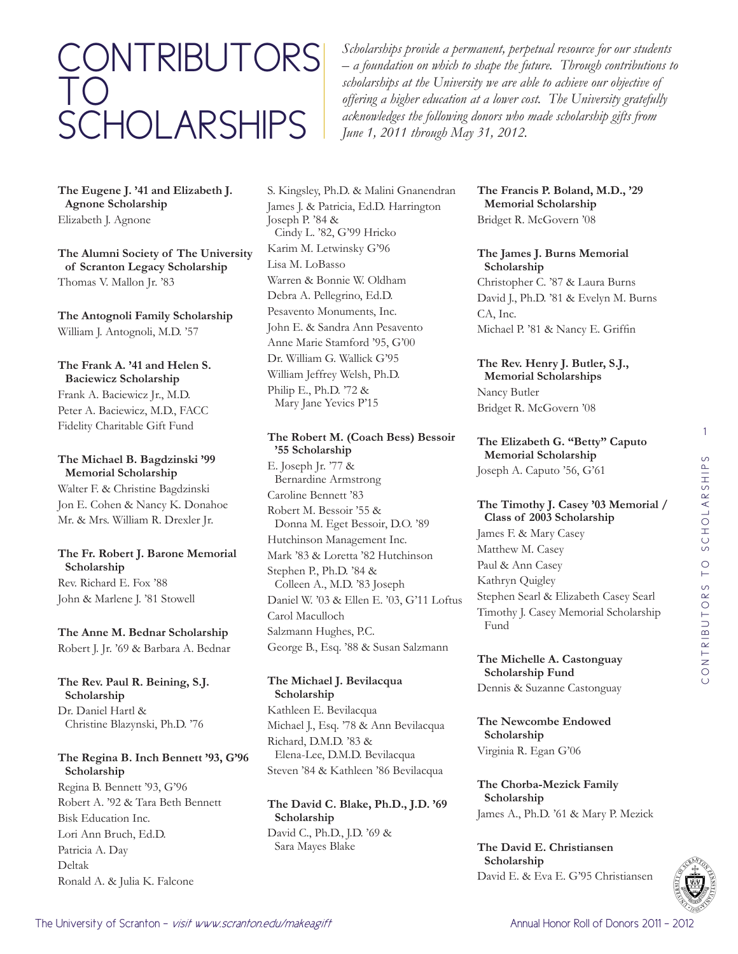# CONTRIBUTORS TO SCHOLARSHIPS

*Scholarships provide a permanent, perpetual resource for our students – a foundation on which to shape the future. Through contributions to scholarships at the University we are able to achieve our objective of offering a higher education at a lower cost. The University gratefully acknowledges the following donors who made scholarship gifts from June 1, 2011 through May 31, 2012.*

**The Eugene J. '41 and Elizabeth J. Agnone Scholarship** Elizabeth J. Agnone

**The Alumni Society of The University of Scranton Legacy Scholarship** Thomas V. Mallon Jr. '83

**The Antognoli Family Scholarship** William J. Antognoli, M.D. '57

# **The Frank A. '41 and Helen S. Baciewicz Scholarship**

Frank A. Baciewicz Jr., M.D. Peter A. Baciewicz, M.D., FACC Fidelity Charitable Gift Fund

#### **The Michael B. Bagdzinski '99 Memorial Scholarship**

Walter F. & Christine Bagdzinski Jon E. Cohen & Nancy K. Donahoe Mr. & Mrs. William R. Drexler Jr.

# **The Fr. Robert J. Barone Memorial Scholarship** Rev. Richard E. Fox '88

John & Marlene J. '81 Stowell

# **The Anne M. Bednar Scholarship**

Robert J. Jr. '69 & Barbara A. Bednar

**The Rev. Paul R. Beining, S.J. Scholarship** Dr. Daniel Hartl & Christine Blazynski, Ph.D. '76

# **The Regina B. Inch Bennett '93, G'96 Scholarship**

Regina B. Bennett '93, G'96 Robert A. '92 & Tara Beth Bennett Bisk Education Inc. Lori Ann Bruch, Ed.D. Patricia A. Day Deltak Ronald A. & Julia K. Falcone

S. Kingsley, Ph.D. & Malini Gnanendran James J. & Patricia, Ed.D. Harrington Joseph P. '84 & Cindy L. '82, G'99 Hricko Karim M. Letwinsky G'96 Lisa M. LoBasso Warren & Bonnie W. Oldham Debra A. Pellegrino, Ed.D. Pesavento Monuments, Inc. John E. & Sandra Ann Pesavento Anne Marie Stamford '95, G'00 Dr. William G. Wallick G'95 William Jeffrey Welsh, Ph.D. Philip E., Ph.D. '72 & Mary Jane Yevics P'15

# **The Robert M. (Coach Bess) Bessoir '55 Scholarship**

E. Joseph Jr. '77 & Bernardine Armstrong Caroline Bennett '83 Robert M. Bessoir '55 & Donna M. Eget Bessoir, D.O. '89 Hutchinson Management Inc. Mark '83 & Loretta '82 Hutchinson Stephen P., Ph.D. '84 & Colleen A., M.D. '83 Joseph Daniel W. '03 & Ellen E. '03, G'11 Loftus Carol Maculloch Salzmann Hughes, P.C. George B., Esq. '88 & Susan Salzmann

# **The Michael J. Bevilacqua Scholarship** Kathleen E. Bevilacqua

Michael J., Esq. '78 & Ann Bevilacqua Richard, D.M.D. '83 & Elena-Lee, D.M.D. Bevilacqua Steven '84 & Kathleen '86 Bevilacqua

# **The David C. Blake, Ph.D., J.D. '69 Scholarship** David C., Ph.D., J.D. '69 & Sara Mayes Blake

**The Francis P. Boland, M.D., '29 Memorial Scholarship** Bridget R. McGovern '08

**The James J. Burns Memorial Scholarship** Christopher C. '87 & Laura Burns David J., Ph.D. '81 & Evelyn M. Burns CA, Inc. Michael P. '81 & Nancy E. Griffin

**The Rev. Henry J. Butler, S.J., Memorial Scholarships** Nancy Butler Bridget R. McGovern '08

**The Elizabeth G. "Betty" Caputo Memorial Scholarship** Joseph A. Caputo '56, G'61

# **The Timothy J. Casey '03 Memorial / Class of 2003 Scholarship**

James F. & Mary Casey Matthew M. Casey Paul & Ann Casey Kathryn Quigley Stephen Searl & Elizabeth Casey Searl Timothy J. Casey Memorial Scholarship Fund

# **The Michelle A. Castonguay Scholarship Fund**

Dennis & Suzanne Castonguay

**The Newcombe Endowed Scholarship** Virginia R. Egan G'06

**The Chorba-Mezick Family Scholarship** James A., Ph.D. '61 & Mary P. Mezick

**The David E. Christiansen Scholarship** David E. & Eva E. G'95 Christiansen 1

 $\circ$ 

CONTRIBUTORS TO SCHOLARSHIPS

CONTRIBUTORS TO SCHOLARSHIP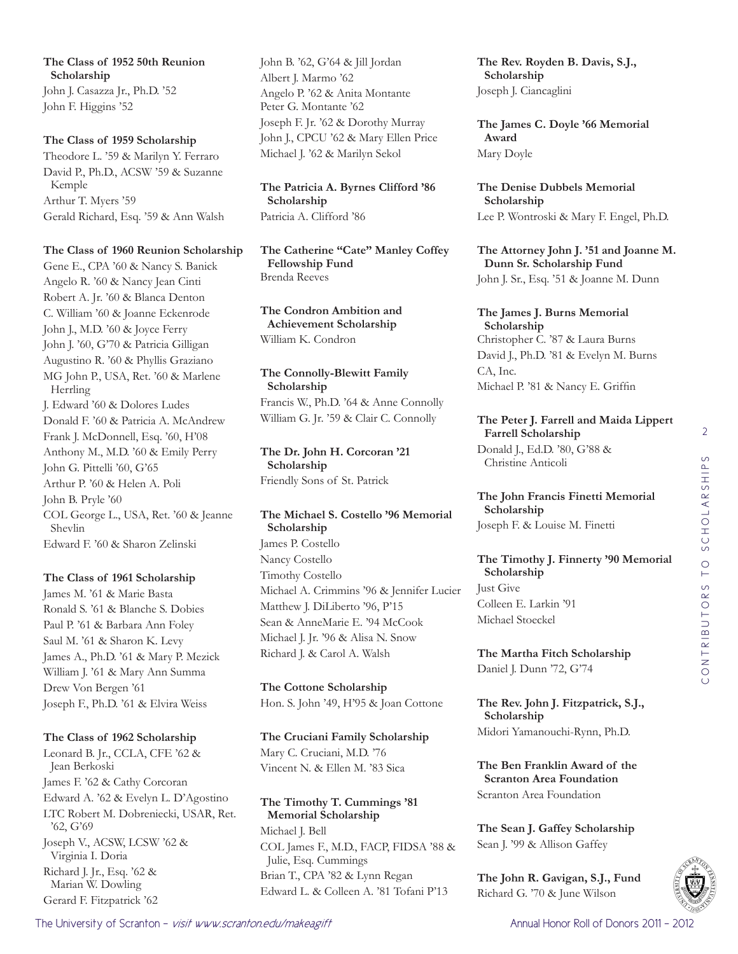**The Class of 1952 50th Reunion Scholarship** John J. Casazza Jr., Ph.D. '52 John F. Higgins '52

#### **The Class of 1959 Scholarship**

Theodore L. '59 & Marilyn Y. Ferraro David P., Ph.D., ACSW '59 & Suzanne Kemple Arthur T. Myers '59 Gerald Richard, Esq. '59 & Ann Walsh

#### **The Class of 1960 Reunion Scholarship**

Gene E., CPA '60 & Nancy S. Banick Angelo R. '60 & Nancy Jean Cinti Robert A. Jr. '60 & Blanca Denton C. William '60 & Joanne Eckenrode John J., M.D. '60 & Joyce Ferry John J. '60, G'70 & Patricia Gilligan Augustino R. '60 & Phyllis Graziano MG John P., USA, Ret. '60 & Marlene Herrling J. Edward '60 & Dolores Ludes Donald F. '60 & Patricia A. McAndrew Frank J. McDonnell, Esq. '60, H'08 Anthony M., M.D. '60 & Emily Perry John G. Pittelli '60, G'65 Arthur P. '60 & Helen A. Poli John B. Pryle '60 COL George L., USA, Ret. '60 & Jeanne Shevlin Edward F. '60 & Sharon Zelinski

# **The Class of 1961 Scholarship**

James M. '61 & Marie Basta Ronald S. '61 & Blanche S. Dobies Paul P. '61 & Barbara Ann Foley Saul M. '61 & Sharon K. Levy James A., Ph.D. '61 & Mary P. Mezick William J. '61 & Mary Ann Summa Drew Von Bergen '61 Joseph F., Ph.D. '61 & Elvira Weiss

# **The Class of 1962 Scholarship**

Leonard B. Jr., CCLA, CFE '62 & Jean Berkoski James F. '62 & Cathy Corcoran Edward A. '62 & Evelyn L. D'Agostino LTC Robert M. Dobreniecki, USAR, Ret. '62, G'69 Joseph V., ACSW, LCSW '62 & Virginia I. Doria Richard J. Jr., Esq. '62 & Marian W. Dowling Gerard F. Fitzpatrick '62

John B. '62, G'64 & Jill Jordan Albert J. Marmo '62 Angelo P. '62 & Anita Montante Peter G. Montante '62 Joseph F. Jr. '62 & Dorothy Murray John J., CPCU '62 & Mary Ellen Price Michael J. '62 & Marilyn Sekol

**The Patricia A. Byrnes Clifford '86 Scholarship** Patricia A. Clifford '86

**The Catherine "Cate" Manley Coffey Fellowship Fund** Brenda Reeves

**The Condron Ambition and Achievement Scholarship** William K. Condron

**The Connolly-Blewitt Family Scholarship** Francis W., Ph.D. '64 & Anne Connolly William G. Jr. '59 & Clair C. Connolly

**The Dr. John H. Corcoran '21 Scholarship** Friendly Sons of St. Patrick

**The Michael S. Costello '96 Memorial Scholarship** James P. Costello Nancy Costello Timothy Costello Michael A. Crimmins '96 & Jennifer Lucier Matthew J. DiLiberto '96, P'15 Sean & AnneMarie E. '94 McCook Michael J. Jr. '96 & Alisa N. Snow Richard J. & Carol A. Walsh

**The Cottone Scholarship** Hon. S. John '49, H'95 & Joan Cottone

**The Cruciani Family Scholarship** Mary C. Cruciani, M.D. '76 Vincent N. & Ellen M. '83 Sica

**The Timothy T. Cummings '81 Memorial Scholarship** Michael J. Bell COL James F., M.D., FACP, FIDSA '88 & Julie, Esq. Cummings Brian T., CPA '82 & Lynn Regan Edward L. & Colleen A. '81 Tofani P'13

**The Rev. Royden B. Davis, S.J., Scholarship** Joseph J. Ciancaglini

**The James C. Doyle '66 Memorial Award** Mary Doyle

**The Denise Dubbels Memorial Scholarship** Lee P. Wontroski & Mary F. Engel, Ph.D.

**The Attorney John J. '51 and Joanne M. Dunn Sr. Scholarship Fund** John J. Sr., Esq. '51 & Joanne M. Dunn

**The James J. Burns Memorial Scholarship** Christopher C. '87 & Laura Burns David J., Ph.D. '81 & Evelyn M. Burns CA, Inc. Michael P. '81 & Nancy E. Griffin

**The Peter J. Farrell and Maida Lippert Farrell Scholarship**

Donald J., Ed.D. '80, G'88 & Christine Anticoli

**The John Francis Finetti Memorial Scholarship** Joseph F. & Louise M. Finetti

**The Timothy J. Finnerty '90 Memorial Scholarship** Just Give Colleen E. Larkin '91 Michael Stoeckel

**The Martha Fitch Scholarship** Daniel J. Dunn '72, G'74

**The Rev. John J. Fitzpatrick, S.J., Scholarship** Midori Yamanouchi-Rynn, Ph.D.

**The Ben Franklin Award of the Scranton Area Foundation** Scranton Area Foundation

**The Sean J. Gaffey Scholarship** Sean J. '99 & Allison Gaffey

**The John R. Gavigan, S.J., Fund** Richard G. '70 & June Wilson

2

 $\circ$ 

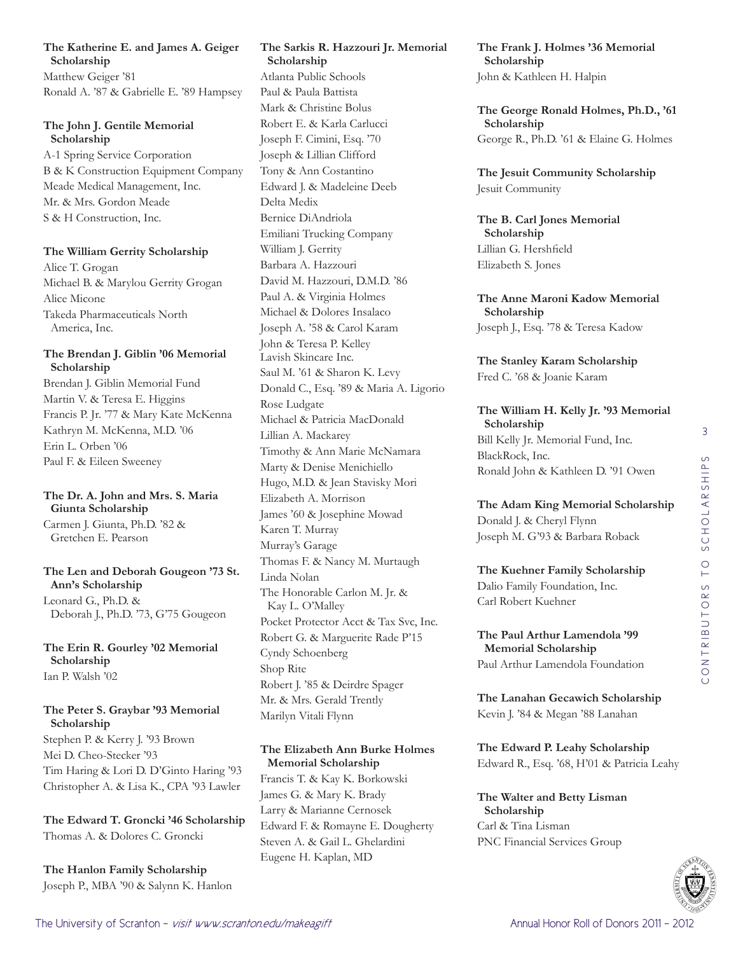# **The Katherine E. and James A. Geiger Scholarship**

Matthew Geiger '81 Ronald A. '87 & Gabrielle E. '89 Hampsey

# **The John J. Gentile Memorial Scholarship**

A-1 Spring Service Corporation B & K Construction Equipment Company Meade Medical Management, Inc. Mr. & Mrs. Gordon Meade S & H Construction, Inc.

# **The William Gerrity Scholarship**

Alice T. Grogan Michael B. & Marylou Gerrity Grogan Alice Micone Takeda Pharmaceuticals North America, Inc.

# **The Brendan J. Giblin '06 Memorial Scholarship**

Brendan J. Giblin Memorial Fund Martin V. & Teresa E. Higgins Francis P. Jr. '77 & Mary Kate McKenna Kathryn M. McKenna, M.D. '06 Erin L. Orben '06 Paul F. & Eileen Sweeney

# **The Dr. A. John and Mrs. S. Maria Giunta Scholarship**

Carmen J. Giunta, Ph.D. '82 & Gretchen E. Pearson

# **The Len and Deborah Gougeon '73 St. Ann's Scholarship**

Leonard G., Ph.D. & Deborah J., Ph.D. '73, G'75 Gougeon

# **The Erin R. Gourley '02 Memorial Scholarship** Ian P. Walsh '02

# **The Peter S. Graybar '93 Memorial Scholarship**

Stephen P. & Kerry J. '93 Brown Mei D. Cheo-Stecker '93 Tim Haring & Lori D. D'Ginto Haring '93 Christopher A. & Lisa K., CPA '93 Lawler

**The Edward T. Groncki '46 Scholarship** Thomas A. & Dolores C. Groncki

**The Hanlon Family Scholarship** Joseph P., MBA '90 & Salynn K. Hanlon

# **The Sarkis R. Hazzouri Jr. Memorial Scholarship**

Atlanta Public Schools Paul & Paula Battista Mark & Christine Bolus Robert E. & Karla Carlucci Joseph F. Cimini, Esq. '70 Joseph & Lillian Clifford Tony & Ann Costantino Edward J. & Madeleine Deeb Delta Medix Bernice DiAndriola Emiliani Trucking Company William J. Gerrity Barbara A. Hazzouri David M. Hazzouri, D.M.D. '86 Paul A. & Virginia Holmes Michael & Dolores Insalaco Joseph A. '58 & Carol Karam John & Teresa P. Kelley Lavish Skincare Inc. Saul M. '61 & Sharon K. Levy Donald C., Esq. '89 & Maria A. Ligorio Rose Ludgate Michael & Patricia MacDonald Lillian A. Mackarey Timothy & Ann Marie McNamara Marty & Denise Menichiello Hugo, M.D. & Jean Stavisky Mori Elizabeth A. Morrison James '60 & Josephine Mowad Karen T. Murray Murray's Garage Thomas F. & Nancy M. Murtaugh Linda Nolan The Honorable Carlon M. Jr. & Kay L. O'Malley Pocket Protector Acct & Tax Svc, Inc. Robert G. & Marguerite Rade P'15 Cyndy Schoenberg Shop Rite Robert J. '85 & Deirdre Spager Mr. & Mrs. Gerald Trently Marilyn Vitali Flynn

# **The Elizabeth Ann Burke Holmes Memorial Scholarship**

Francis T. & Kay K. Borkowski James G. & Mary K. Brady Larry & Marianne Cernosek Edward F. & Romayne E. Dougherty Steven A. & Gail L. Ghelardini Eugene H. Kaplan, MD

**The Frank J. Holmes '36 Memorial Scholarship** John & Kathleen H. Halpin

**The George Ronald Holmes, Ph.D., '61 Scholarship** George R., Ph.D. '61 & Elaine G. Holmes

**The Jesuit Community Scholarship** Jesuit Community

**The B. Carl Jones Memorial Scholarship** Lillian G. Hershfield Elizabeth S. Jones

**The Anne Maroni Kadow Memorial Scholarship** Joseph J., Esq. '78 & Teresa Kadow

**The Stanley Karam Scholarship** Fred C. '68 & Joanie Karam

**The William H. Kelly Jr. '93 Memorial Scholarship** Bill Kelly Jr. Memorial Fund, Inc. BlackRock, Inc. Ronald John & Kathleen D. '91 Owen

**The Adam King Memorial Scholarship** Donald J. & Cheryl Flynn Joseph M. G'93 & Barbara Roback

# **The Kuehner Family Scholarship**

Dalio Family Foundation, Inc. Carl Robert Kuehner

#### **The Paul Arthur Lamendola '99 Memorial Scholarship**

Paul Arthur Lamendola Foundation

**The Lanahan Gecawich Scholarship** Kevin J. '84 & Megan '88 Lanahan

#### **The Edward P. Leahy Scholarship** Edward R., Esq. '68, H'01 & Patricia Leahy

**The Walter and Betty Lisman Scholarship** Carl & Tina Lisman PNC Financial Services Group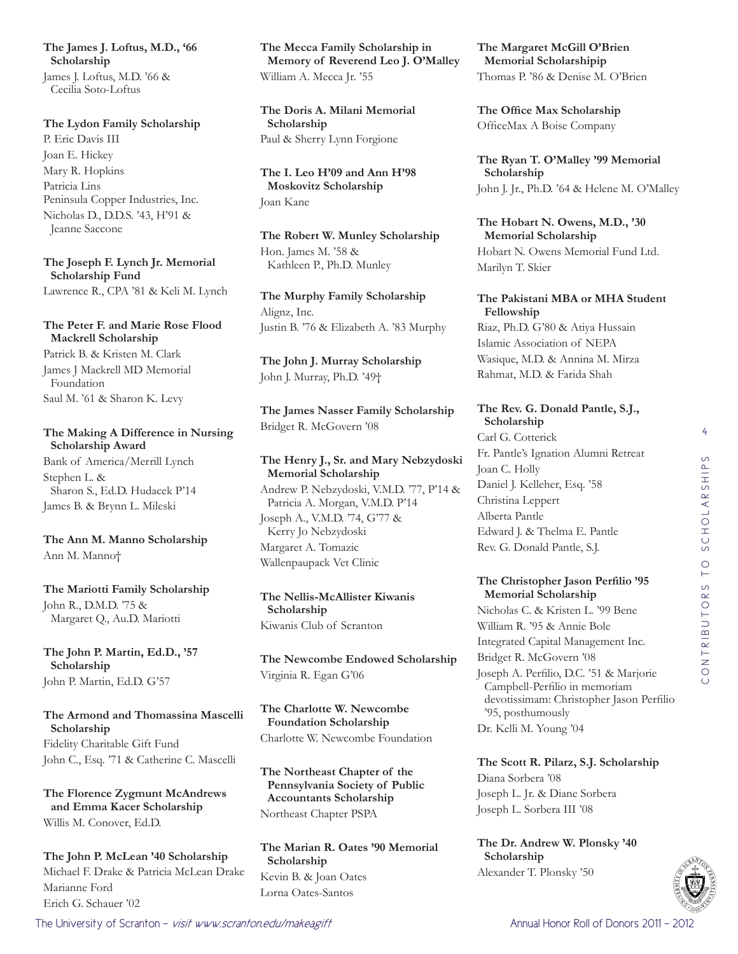**The James J. Loftus, M.D., '66 Scholarship** James J. Loftus, M.D. '66 &

Cecilia Soto-Loftus

#### **The Lydon Family Scholarship**

P. Eric Davis III Joan E. Hickey Mary R. Hopkins Patricia Lins Peninsula Copper Industries, Inc. Nicholas D., D.D.S. '43, H'91 & Jeanne Saccone

**The Joseph F. Lynch Jr. Memorial Scholarship Fund**

Lawrence R., CPA '81 & Keli M. Lynch

# **The Peter F. and Marie Rose Flood Mackrell Scholarship**

Patrick B. & Kristen M. Clark James J Mackrell MD Memorial Foundation Saul M. '61 & Sharon K. Levy

# **The Making A Difference in Nursing Scholarship Award**

Bank of America/Merrill Lynch Stephen L. & Sharon S., Ed.D. Hudacek P'14 James B. & Brynn L. Mileski

**The Ann M. Manno Scholarship** Ann M. Manno†

**The Mariotti Family Scholarship** John R., D.M.D. '75 & Margaret Q., Au.D. Mariotti

**The John P. Martin, Ed.D., '57 Scholarship** John P. Martin, Ed.D. G'57

# **The Armond and Thomassina Mascelli Scholarship** Fidelity Charitable Gift Fund John C., Esq. '71 & Catherine C. Mascelli

**The Florence Zygmunt McAndrews and Emma Kacer Scholarship** Willis M. Conover, Ed.D.

**The John P. McLean '40 Scholarship** Michael F. Drake & Patricia McLean Drake Marianne Ford Erich G. Schauer '02

**The Mecca Family Scholarship in Memory of Reverend Leo J. O'Malley** William A. Mecca Jr. '55

**The Doris A. Milani Memorial Scholarship** Paul & Sherry Lynn Forgione

**The I. Leo H'09 and Ann H'98 Moskovitz Scholarship** Joan Kane

**The Robert W. Munley Scholarship** Hon. James M. '58 & Kathleen P., Ph.D. Munley

**The Murphy Family Scholarship** Alignz, Inc. Justin B. '76 & Elizabeth A. '83 Murphy

**The John J. Murray Scholarship** John J. Murray, Ph.D. '49†

**The James Nasser Family Scholarship** Bridget R. McGovern '08

#### **The Henry J., Sr. and Mary Nebzydoski Memorial Scholarship**

Andrew P. Nebzydoski, V.M.D. '77, P'14 & Patricia A. Morgan, V.M.D. P'14 Joseph A., V.M.D. '74, G'77 &

Kerry Jo Nebzydoski Margaret A. Tomazic Wallenpaupack Vet Clinic

**The Nellis-McAllister Kiwanis Scholarship** Kiwanis Club of Scranton

**The Newcombe Endowed Scholarship** Virginia R. Egan G'06

**The Charlotte W. Newcombe Foundation Scholarship** Charlotte W. Newcombe Foundation

**The Northeast Chapter of the Pennsylvania Society of Public Accountants Scholarship** Northeast Chapter PSPA

**The Marian R. Oates '90 Memorial Scholarship** Kevin B. & Joan Oates Lorna Oates-Santos

**The Margaret McGill O'Brien Memorial Scholarshipip** Thomas P. '86 & Denise M. O'Brien

**The Office Max Scholarship** OfficeMax A Boise Company

**The Ryan T. O'Malley '99 Memorial Scholarship** John J. Jr., Ph.D. '64 & Helene M. O'Malley

**The Hobart N. Owens, M.D., '30 Memorial Scholarship** Hobart N. Owens Memorial Fund Ltd. Marilyn T. Skier

# **The Pakistani MBA or MHA Student Fellowship**

Riaz, Ph.D. G'80 & Atiya Hussain Islamic Association of NEPA Wasique, M.D. & Annina M. Mirza Rahmat, M.D. & Farida Shah

# **The Rev. G. Donald Pantle, S.J., Scholarship**

Carl G. Cotterick Fr. Pantle's Ignation Alumni Retreat Joan C. Holly Daniel J. Kelleher, Esq. '58 Christina Leppert Alberta Pantle Edward J. & Thelma E. Pantle Rev. G. Donald Pantle, S.J.

#### **The Christopher Jason Perfilio '95 Memorial Scholarship**

Nicholas C. & Kristen L. '99 Bene William R. '95 & Annie Bole Integrated Capital Management Inc. Bridget R. McGovern '08 Joseph A. Perfilio, D.C. '51 & Marjorie Campbell-Perfilio in memoriam devotissimam: Christopher Jason Perfilio '95, posthumously Dr. Kelli M. Young '04

**The Scott R. Pilarz, S.J. Scholarship** Diana Sorbera '08 Joseph L. Jr. & Diane Sorbera Joseph L. Sorbera III '08

**The Dr. Andrew W. Plonsky '40 Scholarship** Alexander T. Plonsky '50



The University of Scranton - *visit www.scranton.edu/makeagift* Annual Honor Roll of Donors 2011 - 2012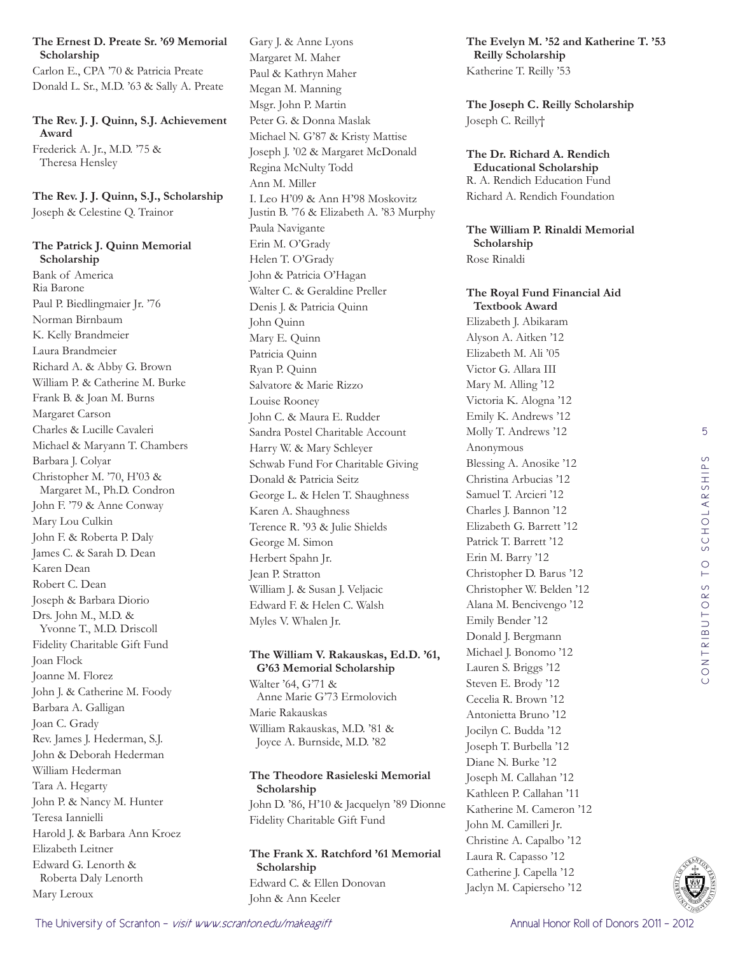# **The Ernest D. Preate Sr. '69 Memorial Scholarship**

Carlon E., CPA '70 & Patricia Preate Donald L. Sr., M.D. '63 & Sally A. Preate

**The Rev. J. J. Quinn, S.J. Achievement Award** Frederick A. Jr., M.D. '75 & Theresa Hensley

**The Rev. J. J. Quinn, S.J., Scholarship** Joseph & Celestine Q. Trainor

**The Patrick J. Quinn Memorial Scholarship** Bank of America Ria Barone Paul P. Biedlingmaier Jr. '76 Norman Birnbaum K. Kelly Brandmeier Laura Brandmeier Richard A. & Abby G. Brown William P. & Catherine M. Burke Frank B. & Joan M. Burns Margaret Carson Charles & Lucille Cavaleri Michael & Maryann T. Chambers Barbara J. Colyar Christopher M. '70, H'03 & Margaret M., Ph.D. Condron John F. '79 & Anne Conway Mary Lou Culkin John F. & Roberta P. Daly James C. & Sarah D. Dean Karen Dean Robert C. Dean Joseph & Barbara Diorio Drs. John M., M.D. & Yvonne T., M.D. Driscoll Fidelity Charitable Gift Fund Joan Flock Joanne M. Florez John J. & Catherine M. Foody Barbara A. Galligan Joan C. Grady Rev. James J. Hederman, S.J. John & Deborah Hederman William Hederman Tara A. Hegarty John P. & Nancy M. Hunter Teresa Iannielli Harold J. & Barbara Ann Kroez Elizabeth Leitner Edward G. Lenorth & Roberta Daly Lenorth Mary Leroux

Gary J. & Anne Lyons Margaret M. Maher Paul & Kathryn Maher Megan M. Manning Msgr. John P. Martin Peter G. & Donna Maslak Michael N. G'87 & Kristy Mattise Joseph J. '02 & Margaret McDonald Regina McNulty Todd Ann M. Miller I. Leo H'09 & Ann H'98 Moskovitz Justin B. '76 & Elizabeth A. '83 Murphy Paula Navigante Erin M. O'Grady Helen T. O'Grady John & Patricia O'Hagan Walter C. & Geraldine Preller Denis J. & Patricia Quinn John Quinn Mary E. Quinn Patricia Quinn Ryan P. Quinn Salvatore & Marie Rizzo Louise Rooney John C. & Maura E. Rudder Sandra Postel Charitable Account Harry W. & Mary Schleyer Schwab Fund For Charitable Giving Donald & Patricia Seitz George L. & Helen T. Shaughness Karen A. Shaughness Terence R. '93 & Julie Shields George M. Simon Herbert Spahn Jr. Jean P. Stratton William J. & Susan J. Veljacic Edward F. & Helen C. Walsh Myles V. Whalen Jr.

# **The William V. Rakauskas, Ed.D. '61, G'63 Memorial Scholarship**

Walter '64, G'71 & Anne Marie G'73 Ermolovich Marie Rakauskas William Rakauskas, M.D. '81 & Joyce A. Burnside, M.D. '82

# **The Theodore Rasieleski Memorial Scholarship**

John D. '86, H'10 & Jacquelyn '89 Dionne Fidelity Charitable Gift Fund

# **The Frank X. Ratchford '61 Memorial Scholarship** Edward C. & Ellen Donovan John & Ann Keeler

**The Evelyn M. '52 and Katherine T. '53 Reilly Scholarship** Katherine T. Reilly '53

**The Joseph C. Reilly Scholarship** Joseph C. Reilly†

**The Dr. Richard A. Rendich Educational Scholarship** R. A. Rendich Education Fund Richard A. Rendich Foundation

**The William P. Rinaldi Memorial Scholarship** Rose Rinaldi

**The Royal Fund Financial Aid Textbook Award** Elizabeth J. Abikaram Alyson A. Aitken '12 Elizabeth M. Ali '05 Victor G. Allara III Mary M. Alling '12 Victoria K. Alogna '12 Emily K. Andrews '12 Molly T. Andrews '12 Anonymous Blessing A. Anosike '12 Christina Arbucias '12 Samuel T. Arcieri '12 Charles J. Bannon '12 Elizabeth G. Barrett '12 Patrick T. Barrett '12 Erin M. Barry '12 Christopher D. Barus '12 Christopher W. Belden '12 Alana M. Bencivengo '12 Emily Bender '12 Donald J. Bergmann Michael J. Bonomo '12 Lauren S. Briggs '12 Steven E. Brody '12 Cecelia R. Brown '12 Antonietta Bruno '12 Jocilyn C. Budda '12 Joseph T. Burbella '12 Diane N. Burke '12 Joseph M. Callahan '12 Kathleen P. Callahan '11 Katherine M. Cameron '12 John M. Camilleri Jr. Christine A. Capalbo '12 Laura R. Capasso '12 Catherine J. Capella '12 Jaclyn M. Capierseho '12

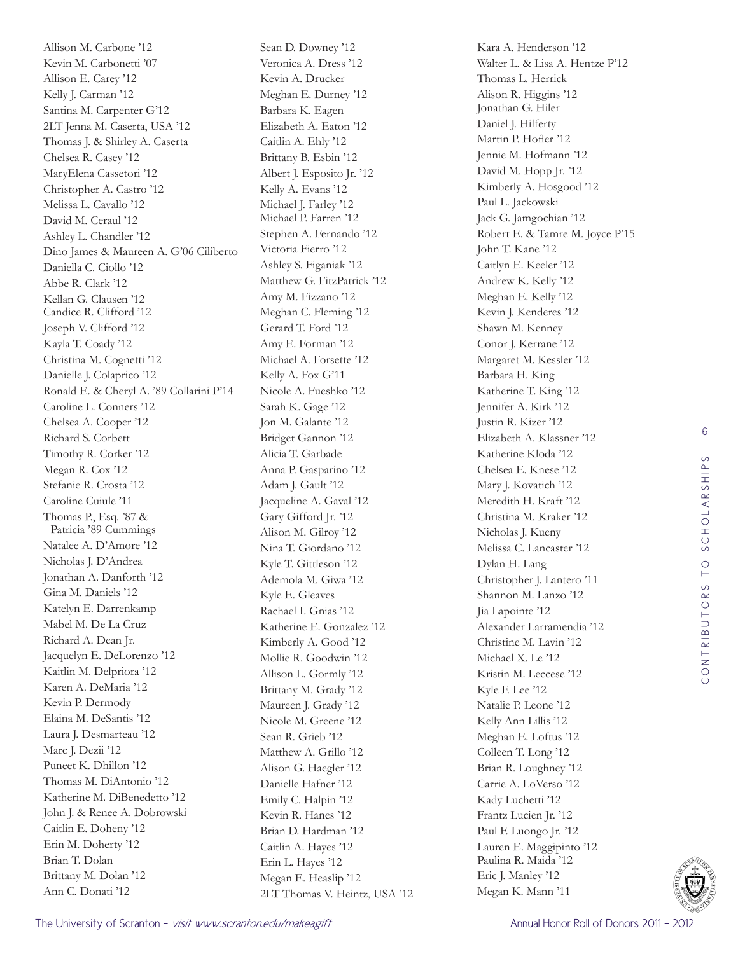Allison M. Carbone '12 Kevin M. Carbonetti '07 Allison E. Carey '12 Kelly J. Carman '12 Santina M. Carpenter G'12 2LT Jenna M. Caserta, USA '12 Thomas J. & Shirley A. Caserta Chelsea R. Casey '12 MaryElena Cassetori '12 Christopher A. Castro '12 Melissa L. Cavallo '12 David M. Ceraul '12 Ashley L. Chandler '12 Dino James & Maureen A. G'06 Ciliberto Daniella C. Ciollo '12 Abbe R. Clark '12 Kellan G. Clausen '12 Candice R. Clifford '12 Joseph V. Clifford '12 Kayla T. Coady '12 Christina M. Cognetti '12 Danielle J. Colaprico '12 Ronald E. & Cheryl A. '89 Collarini P'14 Caroline L. Conners '12 Chelsea A. Cooper '12 Richard S. Corbett Timothy R. Corker '12 Megan R. Cox '12 Stefanie R. Crosta '12 Caroline Cuiule '11 Thomas P., Esq. '87 & Patricia '89 Cummings Natalee A. D'Amore '12 Nicholas J. D'Andrea Jonathan A. Danforth '12 Gina M. Daniels '12 Katelyn E. Darrenkamp Mabel M. De La Cruz Richard A. Dean Jr. Jacquelyn E. DeLorenzo '12 Kaitlin M. Delpriora '12 Karen A. DeMaria '12 Kevin P. Dermody Elaina M. DeSantis '12 Laura J. Desmarteau '12 Marc J. Dezii '12 Puneet K. Dhillon '12 Thomas M. DiAntonio '12 Katherine M. DiBenedetto '12 John J. & Renee A. Dobrowski Caitlin E. Doheny '12 Erin M. Doherty '12 Brian T. Dolan Brittany M. Dolan '12 Ann C. Donati '12

Sean D. Downey '12 Veronica A. Dress '12 Kevin A. Drucker Meghan E. Durney '12 Barbara K. Eagen Elizabeth A. Eaton '12 Caitlin A. Ehly '12 Brittany B. Esbin '12 Albert J. Esposito Jr. '12 Kelly A. Evans '12 Michael J. Farley '12 Michael P. Farren '12 Stephen A. Fernando '12 Victoria Fierro '12 Ashley S. Figaniak '12 Matthew G. FitzPatrick '12 Amy M. Fizzano '12 Meghan C. Fleming '12 Gerard T. Ford '12 Amy E. Forman '12 Michael A. Forsette '12 Kelly A. Fox G'11 Nicole A. Fueshko '12 Sarah K. Gage '12 Jon M. Galante '12 Bridget Gannon '12 Alicia T. Garbade Anna P. Gasparino '12 Adam J. Gault '12 Jacqueline A. Gaval '12 Gary Gifford Jr. '12 Alison M. Gilroy '12 Nina T. Giordano '12 Kyle T. Gittleson '12 Ademola M. Giwa '12 Kyle E. Gleaves Rachael I. Gnias '12 Katherine E. Gonzalez '12 Kimberly A. Good '12 Mollie R. Goodwin '12 Allison L. Gormly '12 Brittany M. Grady '12 Maureen J. Grady '12 Nicole M. Greene '12 Sean R. Grieb '12 Matthew A. Grillo '12 Alison G. Haegler '12 Danielle Hafner '12 Emily C. Halpin '12 Kevin R. Hanes '12 Brian D. Hardman '12 Caitlin A. Hayes '12 Erin L. Hayes '12 Megan E. Heaslip '12 2LT Thomas V. Heintz, USA '12

Kara A. Henderson '12 Walter L. & Lisa A. Hentze P'12 Thomas L. Herrick Alison R. Higgins '12 Jonathan G. Hiler Daniel J. Hilferty Martin P. Hofler '12 Jennie M. Hofmann '12 David M. Hopp Jr. '12 Kimberly A. Hosgood '12 Paul L. Jackowski Jack G. Jamgochian '12 Robert E. & Tamre M. Joyce P'15 John T. Kane '12 Caitlyn E. Keeler '12 Andrew K. Kelly '12 Meghan E. Kelly '12 Kevin J. Kenderes '12 Shawn M. Kenney Conor J. Kerrane '12 Margaret M. Kessler '12 Barbara H. King Katherine T. King '12 Jennifer A. Kirk '12 Justin R. Kizer '12 Elizabeth A. Klassner '12 Katherine Kloda '12 Chelsea E. Knese '12 Mary J. Kovatich '12 Meredith H. Kraft '12 Christina M. Kraker '12 Nicholas J. Kueny Melissa C. Lancaster '12 Dylan H. Lang Christopher J. Lantero '11 Shannon M. Lanzo '12 Jia Lapointe '12 Alexander Larramendia '12 Christine M. Lavin '12 Michael X. Le '12 Kristin M. Leccese '12 Kyle F. Lee '12 Natalie P. Leone '12 Kelly Ann Lillis '12 Meghan E. Loftus '12 Colleen T. Long '12 Brian R. Loughney '12 Carrie A. LoVerso '12 Kady Luchetti '12 Frantz Lucien Jr. '12 Paul F. Luongo Jr. '12 Lauren E. Maggipinto '12 Paulina R. Maida '12 Eric J. Manley '12 Megan K. Mann '11

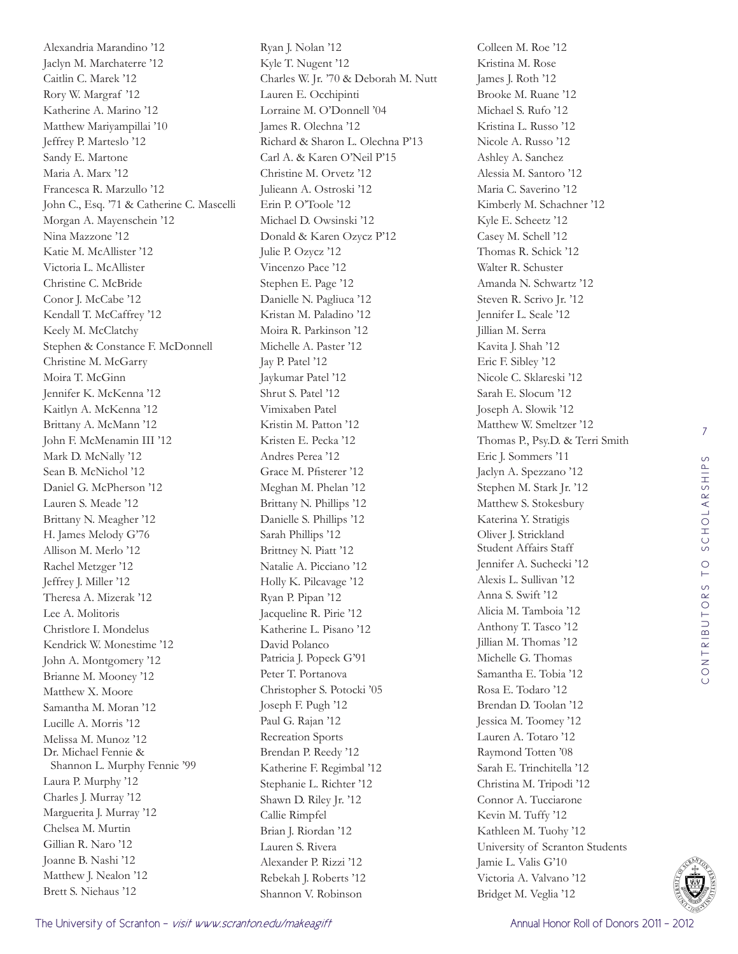Alexandria Marandino '12 Jaclyn M. Marchaterre '12 Caitlin C. Marek '12 Rory W. Margraf '12 Katherine A. Marino '12 Matthew Mariyampillai '10 Jeffrey P. Marteslo '12 Sandy E. Martone Maria A. Marx '12 Francesca R. Marzullo '12 John C., Esq. '71 & Catherine C. Mascelli Morgan A. Mayenschein '12 Nina Mazzone '12 Katie M. McAllister '12 Victoria L. McAllister Christine C. McBride Conor J. McCabe '12 Kendall T. McCaffrey '12 Keely M. McClatchy Stephen & Constance F. McDonnell Christine M. McGarry Moira T. McGinn Jennifer K. McKenna '12 Kaitlyn A. McKenna '12 Brittany A. McMann '12 John F. McMenamin III '12 Mark D. McNally '12 Sean B. McNichol '12 Daniel G. McPherson '12 Lauren S. Meade '12 Brittany N. Meagher '12 H. James Melody G'76 Allison M. Merlo '12 Rachel Metzger '12 Jeffrey J. Miller '12 Theresa A. Mizerak '12 Lee A. Molitoris Christlore I. Mondelus Kendrick W. Monestime '12 John A. Montgomery '12 Brianne M. Mooney '12 Matthew X. Moore Samantha M. Moran '12 Lucille A. Morris '12 Melissa M. Munoz '12 Dr. Michael Fennie & Shannon L. Murphy Fennie '99 Laura P. Murphy '12 Charles J. Murray '12 Marguerita J. Murray '12 Chelsea M. Murtin Gillian R. Naro '12 Joanne B. Nashi '12 Matthew J. Nealon '12 Brett S. Niehaus '12

Ryan J. Nolan '12 Kyle T. Nugent '12 Charles W. Jr. '70 & Deborah M. Nutt Lauren E. Occhipinti Lorraine M. O'Donnell '04 James R. Olechna '12 Richard & Sharon L. Olechna P'13 Carl A. & Karen O'Neil P'15 Christine M. Orvetz '12 Julieann A. Ostroski '12 Erin P. O'Toole '12 Michael D. Owsinski '12 Donald & Karen Ozycz P'12 Julie P. Ozycz '12 Vincenzo Pace '12 Stephen E. Page '12 Danielle N. Pagliuca '12 Kristan M. Paladino '12 Moira R. Parkinson '12 Michelle A. Paster '12 Jay P. Patel '12 Jaykumar Patel '12 Shrut S. Patel '12 Vimixaben Patel Kristin M. Patton '12 Kristen E. Pecka '12 Andres Perea '12 Grace M. Pfisterer '12 Meghan M. Phelan '12 Brittany N. Phillips '12 Danielle S. Phillips '12 Sarah Phillips '12 Brittney N. Piatt '12 Natalie A. Picciano '12 Holly K. Pilcavage '12 Ryan P. Pipan '12 Jacqueline R. Pirie '12 Katherine L. Pisano '12 David Polanco Patricia J. Popeck G'91 Peter T. Portanova Christopher S. Potocki '05 Joseph F. Pugh '12 Paul G. Rajan '12 Recreation Sports Brendan P. Reedy '12 Katherine F. Regimbal '12 Stephanie L. Richter '12 Shawn D. Riley Jr. '12 Callie Rimpfel Brian J. Riordan '12 Lauren S. Rivera Alexander P. Rizzi '12 Rebekah J. Roberts '12 Shannon V. Robinson

Colleen M. Roe '12 Kristina M. Rose James J. Roth '12 Brooke M. Ruane '12 Michael S. Rufo '12 Kristina L. Russo '12 Nicole A. Russo '12 Ashley A. Sanchez Alessia M. Santoro '12 Maria C. Saverino '12 Kimberly M. Schachner '12 Kyle E. Scheetz '12 Casey M. Schell '12 Thomas R. Schick '12 Walter R. Schuster Amanda N. Schwartz '12 Steven R. Scrivo Jr. '12 Jennifer L. Seale '12 Jillian M. Serra Kavita J. Shah '12 Eric F. Sibley '12 Nicole C. Sklareski '12 Sarah E. Slocum '12 Joseph A. Slowik '12 Matthew W. Smeltzer '12 Thomas P., Psy.D. & Terri Smith Eric J. Sommers '11 Jaclyn A. Spezzano '12 Stephen M. Stark Jr. '12 Matthew S. Stokesbury Katerina Y. Stratigis Oliver J. Strickland Student Affairs Staff Jennifer A. Suchecki '12 Alexis L. Sullivan '12 Anna S. Swift '12 Alicia M. Tamboia '12 Anthony T. Tasco '12 Jillian M. Thomas '12 Michelle G. Thomas Samantha E. Tobia '12 Rosa E. Todaro '12 Brendan D. Toolan '12 Jessica M. Toomey '12 Lauren A. Totaro '12 Raymond Totten '08 Sarah E. Trinchitella '12 Christina M. Tripodi '12 Connor A. Tucciarone Kevin M. Tuffy '12 Kathleen M. Tuohy '12 University of Scranton Students Jamie L. Valis G'10 Victoria A. Valvano '12 Bridget M. Veglia '12